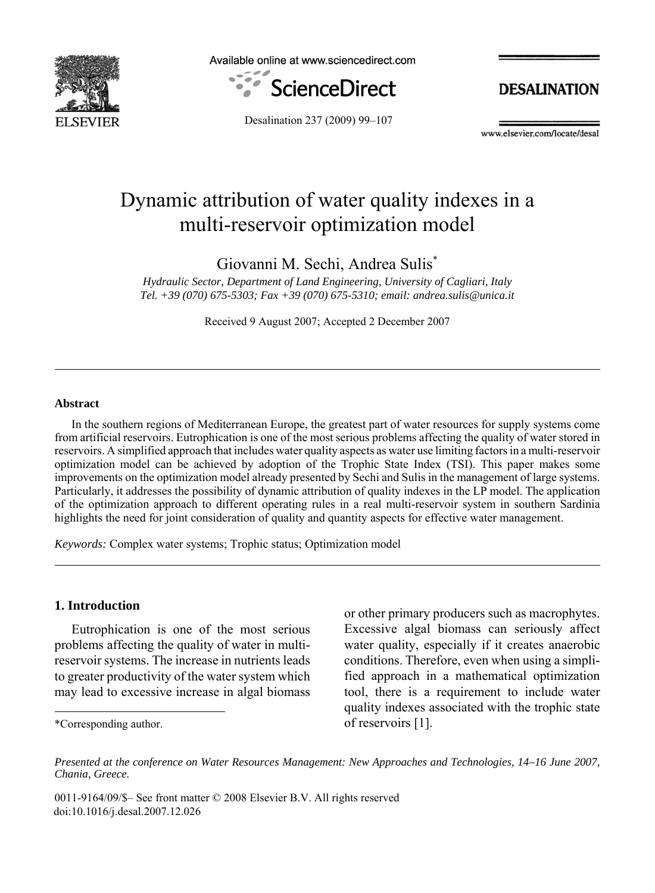

Available online at www.sciencedirect.com



**DESALINATION** 

Desalination 237 (2009) 99–107

www.elsevier.com/locate/desal

# Dynamic attribution of water quality indexes in a multi-reservoir optimization model

Giovanni M. Sechi, Andrea Sulis\*

*Hydraulic Sector, Department of Land Engineering, University of Cagliari, Italy Tel. +39 (070) 675-5303; Fax +39 (070) 675-5310; email: andrea.sulis@unica.it*

Received 9 August 2007; Accepted 2 December 2007

#### **Abstract**

In the southern regions of Mediterranean Europe, the greatest part of water resources for supply systems come from artificial reservoirs. Eutrophication is one of the most serious problems affecting the quality of water stored in reservoirs. A simplified approach that includes water quality aspects as water use limiting factors in a multi-reservoir optimization model can be achieved by adoption of the Trophic State Index (TSI). This paper makes some improvements on the optimization model already presented by Sechi and Sulis in the management of large systems. Particularly, it addresses the possibility of dynamic attribution of quality indexes in the LP model. The application of the optimization approach to different operating rules in a real multi-reservoir system in southern Sardinia highlights the need for joint consideration of quality and quantity aspects for effective water management.

*Keywords:* Complex water systems; Trophic status; Optimization model

### **1. Introduction**

Eutrophication is one of the most serious problems affecting the quality of water in multireservoir systems. The increase in nutrients leads to greater productivity of the water system which may lead to excessive increase in algal biomass

\*Corresponding author.

or other primary producers such as macrophytes. Excessive algal biomass can seriously affect water quality, especially if it creates anaerobic conditions. Therefore, even when using a simplified approach in a mathematical optimization tool, there is a requirement to include water quality indexes associated with the trophic state of reservoirs [1].

0011-9164/09/\$- See front matter © 2008 Elsevier B.V. All rights reserved doi:10.1016/j.desal.2007.12.026

*Presented at the conference on Water Resources Management: New Approaches and Technologies, 14–16 June 2007, Chania, Greece.*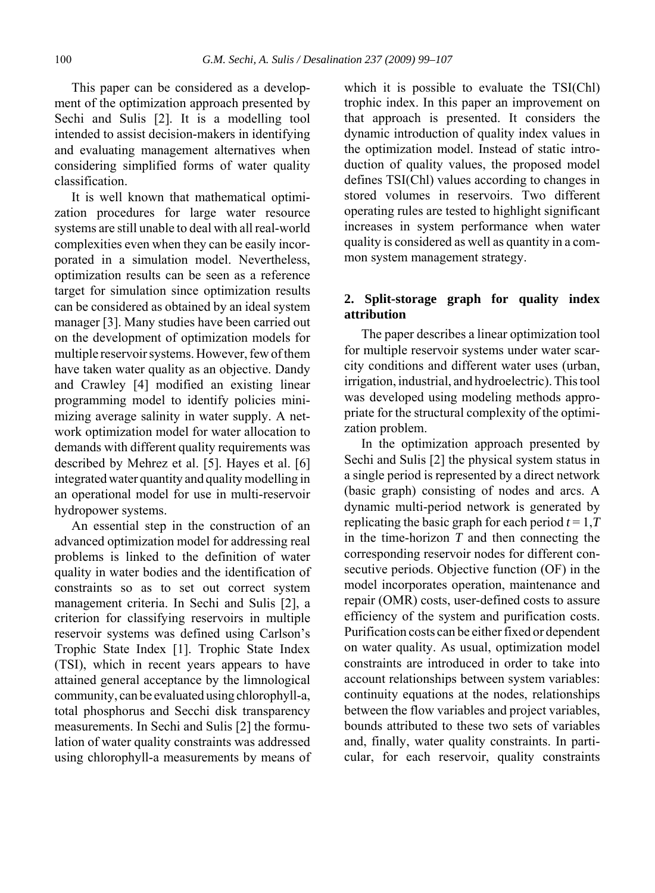This paper can be considered as a development of the optimization approach presented by Sechi and Sulis [2]. It is a modelling tool intended to assist decision-makers in identifying and evaluating management alternatives when considering simplified forms of water quality classification.

It is well known that mathematical optimization procedures for large water resource systems are still unable to deal with all real-world complexities even when they can be easily incorporated in a simulation model. Nevertheless, optimization results can be seen as a reference target for simulation since optimization results can be considered as obtained by an ideal system manager [3]. Many studies have been carried out on the development of optimization models for multiple reservoir systems. However, few of them have taken water quality as an objective. Dandy and Crawley [4] modified an existing linear programming model to identify policies minimizing average salinity in water supply. A network optimization model for water allocation to demands with different quality requirements was described by Mehrez et al. [5]. Hayes et al. [6] integrated water quantity and quality modelling in an operational model for use in multi-reservoir hydropower systems.

An essential step in the construction of an advanced optimization model for addressing real problems is linked to the definition of water quality in water bodies and the identification of constraints so as to set out correct system management criteria. In Sechi and Sulis [2], a criterion for classifying reservoirs in multiple reservoir systems was defined using Carlson's Trophic State Index [1]. Trophic State Index (TSI), which in recent years appears to have attained general acceptance by the limnological community, can be evaluated using chlorophyll-a, total phosphorus and Secchi disk transparency measurements. In Sechi and Sulis [2] the formulation of water quality constraints was addressed using chlorophyll-a measurements by means of

which it is possible to evaluate the TSI(Chl) trophic index. In this paper an improvement on that approach is presented. It considers the dynamic introduction of quality index values in the optimization model. Instead of static introduction of quality values, the proposed model defines TSI(Chl) values according to changes in stored volumes in reservoirs. Two different operating rules are tested to highlight significant increases in system performance when water quality is considered as well as quantity in a common system management strategy.

### **2. Split-storage graph for quality index attribution**

The paper describes a linear optimization tool for multiple reservoir systems under water scarcity conditions and different water uses (urban, irrigation, industrial, and hydroelectric). This tool was developed using modeling methods appropriate for the structural complexity of the optimization problem.

In the optimization approach presented by Sechi and Sulis [2] the physical system status in a single period is represented by a direct network (basic graph) consisting of nodes and arcs. A dynamic multi-period network is generated by replicating the basic graph for each period  $t = 1, T$ in the time-horizon *T* and then connecting the corresponding reservoir nodes for different consecutive periods. Objective function (OF) in the model incorporates operation, maintenance and repair (OMR) costs, user-defined costs to assure efficiency of the system and purification costs. Purification costs can be either fixed or dependent on water quality. As usual, optimization model constraints are introduced in order to take into account relationships between system variables: continuity equations at the nodes, relationships between the flow variables and project variables, bounds attributed to these two sets of variables and, finally, water quality constraints. In particular, for each reservoir, quality constraints